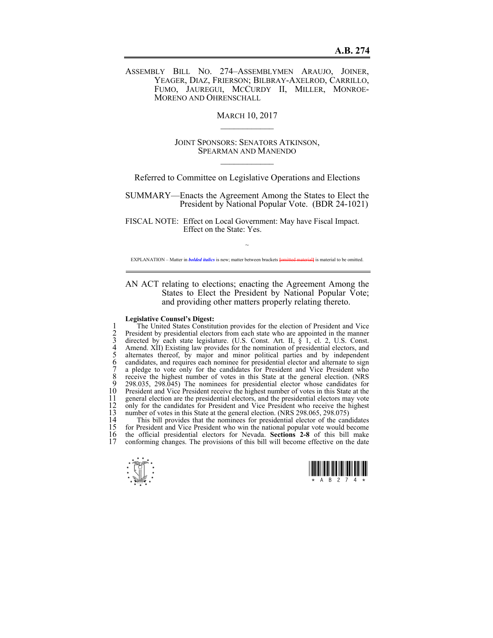ASSEMBLY BILL NO. 274–ASSEMBLYMEN ARAUJO, JOINER, YEAGER, DIAZ, FRIERSON; BILBRAY-AXELROD, CARRILLO, FUMO, JAUREGUI, MCCURDY II, MILLER, MONROE-MORENO AND OHRENSCHALL

> MARCH 10, 2017  $\mathcal{L}_\text{max}$

JOINT SPONSORS: SENATORS ATKINSON, SPEARMAN AND MANENDO  $\mathcal{L}_\text{max}$ 

Referred to Committee on Legislative Operations and Elections

SUMMARY—Enacts the Agreement Among the States to Elect the President by National Popular Vote. (BDR 24-1021)

FISCAL NOTE: Effect on Local Government: May have Fiscal Impact. Effect on the State: Yes.

 $\sim$ EXPLANATION – Matter in *bolded italics* is new; matter between brackets **[**omitted material**]** is material to be omitted.

AN ACT relating to elections; enacting the Agreement Among the States to Elect the President by National Popular Vote; and providing other matters properly relating thereto.

## **Legislative Counsel's Digest:**

1 The United States Constitution provides for the election of President and Vice<br>
2 President by presidential electors from each state who are appointed in the manner<br>
3 directed by each state legislature. (U.S. Const. Art President by presidential electors from each state who are appointed in the manner 3 directed by each state legislature. (U.S. Const. Art. II,  $\hat{\S}$  1, cl. 2, U.S. Const. 4 Amend. XII) Existing law provides for the nomination of presidential electors, and alternates thereof, by major and minor political parties and by independent candidates, and requires each nominee for presidential elector and alternate to sign a pledge to vote only for the candidates for President and Vice President who 8 receive the highest number of votes in this State at the general election. (NRS<br>9 298.035, 298.045) The nominees for presidential elector whose candidates for 9 298.035, 298.045) The nominees for presidential elector whose candidates for 10 President and Vice President receive the highest number of votes in this State at the general election are the presidential electors, and the presidential electors may vote 11 general election are the presidential electors, and the presidential electors may vote<br>12 only for the candidates for President and Vice President who receive the highest 12 only for the candidates for President and Vice President who receive the highest number of votes in this State at the general election. (NRS 298.065, 298.075) 13 number of votes in this State at the general election. (NRS 298.065, 298.075)<br>14 This bill provides that the nominees for presidential elector of the canon

14 This bill provides that the nominees for presidential elector of the candidates 15 for President and Vice President who win the national popular vote would become 15 for President and Vice President who win the national popular vote would become 16 the official presidential electors for Nevada. **Sections 2-8** of this bill make 16 the official presidential electors for Nevada. **Sections 2-8** of this bill make conforming changes. The provisions of this bill will become effective on the date



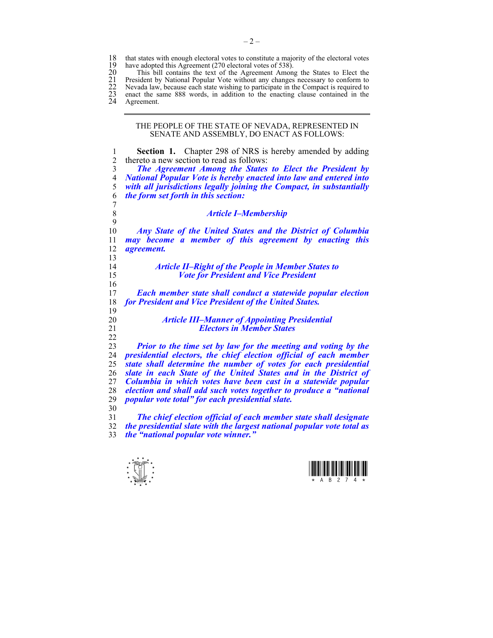18 that states with enough electoral votes to constitute a majority of the electoral votes 19 have adopted this Agreement (270 electoral votes of 538).

20 This bill contains the text of the Agreement Among the States to Elect the 21 President by National Popular Vote without any changes necessary to conform to 22 Nevada law, because each state wishing to participate in the Compact is required to 20 This bill contains the text of the Agreement Among the States to Elect the<br>21 President by National Popular Vote without any changes necessary to conform to<br>22 Nevada law, because each state wishing to participate in th Agreement.

THE PEOPLE OF THE STATE OF NEVADA, REPRESENTED IN

|                                                                            | SENATE AND ASSEMBLY, DO ENACT AS FOLLOWS:                                                                                                                                                                                                                                                                                                                     |
|----------------------------------------------------------------------------|---------------------------------------------------------------------------------------------------------------------------------------------------------------------------------------------------------------------------------------------------------------------------------------------------------------------------------------------------------------|
| 1<br>$\overline{c}$<br>$\overline{\mathbf{3}}$<br>$\overline{4}$<br>5<br>6 | Section 1. Chapter 298 of NRS is hereby amended by adding<br>thereto a new section to read as follows:<br>The Agreement Among the States to Elect the President by<br><b>National Popular Vote is hereby enacted into law and entered into</b><br>with all jurisdictions legally joining the Compact, in substantially<br>the form set forth in this section: |
| 7<br>8<br>9                                                                | <b>Article I-Membership</b>                                                                                                                                                                                                                                                                                                                                   |
| 10<br>11<br>12<br>13                                                       | Any State of the United States and the District of Columbia<br>may become a member of this agreement by enacting this<br>agreement.                                                                                                                                                                                                                           |
| 14<br>15<br>16                                                             | <b>Article II–Right of the People in Member States to</b><br><b>Vote for President and Vice President</b>                                                                                                                                                                                                                                                     |
| 17<br>18<br>19                                                             | Each member state shall conduct a statewide popular election<br>for President and Vice President of the United States.                                                                                                                                                                                                                                        |
| 20<br>21<br>22                                                             | <b>Article III-Manner of Appointing Presidential</b><br><b>Electors in Member States</b>                                                                                                                                                                                                                                                                      |
| 23<br>24<br>25<br>26<br>27                                                 | Prior to the time set by law for the meeting and voting by the<br>presidential electors, the chief election official of each member<br>state shall determine the number of votes for each presidential<br>slate in each State of the United States and in the District of<br>Columbia in which votes have been cast in a statewide popular                    |
| 28<br>29                                                                   | election and shall add such votes together to produce a "national<br>popular vote total" for each presidential slate.                                                                                                                                                                                                                                         |
| 30<br>31<br>32<br>33                                                       | The chief election official of each member state shall designate<br>the presidential slate with the largest national popular vote total as<br>the "national popular vote winner."                                                                                                                                                                             |



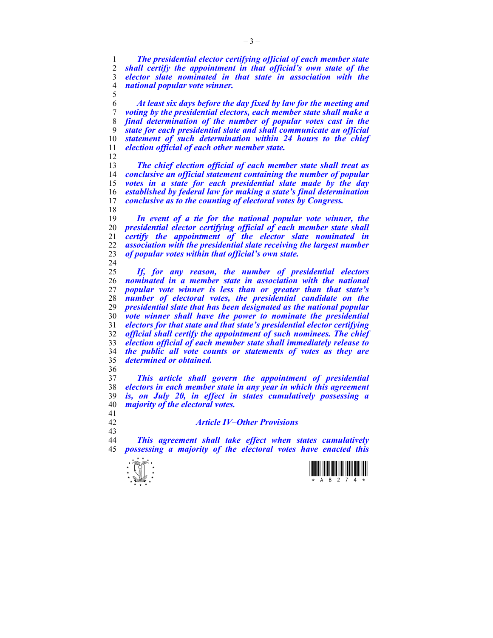*The presidential elector certifying official of each member state shall certify the appointment in that official's own state of the elector slate nominated in that state in association with the national popular vote winner.*  

*At least six days before the day fixed by law for the meeting and voting by the presidential electors, each member state shall make a final determination of the number of popular votes cast in the state for each presidential slate and shall communicate an official statement of such determination within 24 hours to the chief election official of each other member state.* 

 $12<sup>2</sup>$ 

*The chief election official of each member state shall treat as conclusive an official statement containing the number of popular votes in a state for each presidential slate made by the day established by federal law for making a state's final determination*  conclusive as to the counting of electoral votes by Congress.

*In event of a tie for the national popular vote winner, the presidential elector certifying official of each member state shall certify the appointment of the elector slate nominated in association with the presidential slate receiving the largest number of popular votes within that official's own state.*  

*If, for any reason, the number of presidential electors nominated in a member state in association with the national popular vote winner is less than or greater than that state's number of electoral votes, the presidential candidate on the presidential slate that has been designated as the national popular vote winner shall have the power to nominate the presidential electors for that state and that state's presidential elector certifying official shall certify the appointment of such nominees. The chief election official of each member state shall immediately release to the public all vote counts or statements of votes as they are determined or obtained.* 

- *This article shall govern the appointment of presidential electors in each member state in any year in which this agreement is, on July 20, in effect in states cumulatively possessing a majority of the electoral votes.*
- *Article IV–Other Provisions*

*This agreement shall take effect when states cumulatively possessing a majority of the electoral votes have enacted this* 



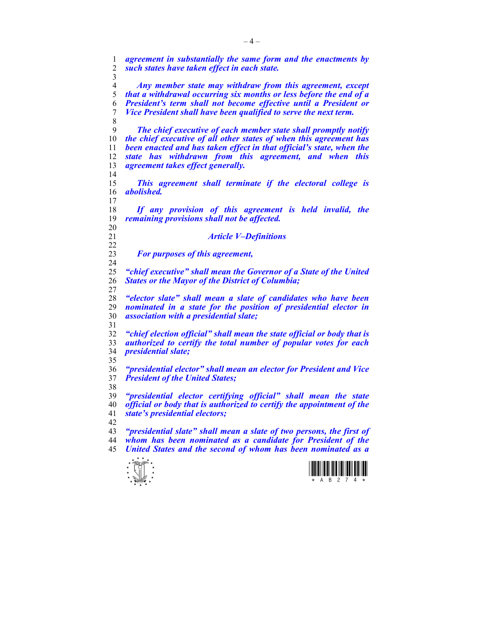$\frac{1}{\sqrt{2}}$ *agreement in substantially the same form and the enactments by such states have taken effect in each state. Any member state may withdraw from this agreement, except that a withdrawal occurring six months or less before the end of a President's term shall not become effective until a President or Vice President shall have been qualified to serve the next term. The chief executive of each member state shall promptly notify the chief executive of all other states of when this agreement has been enacted and has taken effect in that official's state, when the state has withdrawn from this agreement, and when this agreement takes effect generally. This agreement shall terminate if the electoral college is abolished. If any provision of this agreement is held invalid, the remaining provisions shall not be affected. Article V–Definitions For purposes of this agreement, "chief executive" shall mean the Governor of a State of the United States or the Mayor of the District of Columbia; "elector slate" shall mean a slate of candidates who have been nominated in a state for the position of presidential elector in association with a presidential slate; "chief election official" shall mean the state official or body that is authorized to certify the total number of popular votes for each presidential slate; "presidential elector" shall mean an elector for President and Vice President of the United States; "presidential elector certifying official" shall mean the state official or body that is authorized to certify the appointment of the state's presidential electors; "presidential slate" shall mean a slate of two persons, the first of whom has been nominated as a candidate for President of the United States and the second of whom has been nominated as a*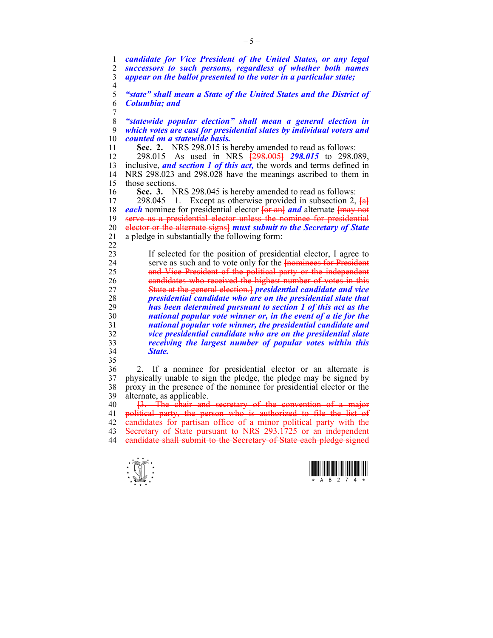1 *candidate for Vice President of the United States, or any legal*  2 *successors to such persons, regardless of whether both names*  3 *appear on the ballot presented to the voter in a particular state;*   $\frac{4}{5}$ 5 *"state" shall mean a State of the United States and the District of*  6 *Columbia; and*   $\frac{7}{8}$ 8 *"statewide popular election" shall mean a general election in*  9 *which votes are cast for presidential slates by individual voters and*  10 *counted on a statewide basis.*  11 **Sec. 2.** NRS 298.015 is hereby amended to read as follows: 12 298.015 As used in NRS **[**298.005**]** *298.015* to 298.089, 13 inclusive, *and section 1 of this act,* the words and terms defined in 14 NRS 298.023 and 298.028 have the meanings ascribed to them in 15 those sections. **Sec. 3.** NRS 298.045 is hereby amended to read as follows:<br>17 298.045 1 Except as otherwise provided in subsection 2 17 298.045 1. Except as otherwise provided in subsection 2, **[**a**]** 18 *each* nominee for presidential elector **[**or an**]** *and* alternate **[**may not 19 serve as a presidential elector unless the nominee for presidential 20 elector or the alternate signs**]** *must submit to the Secretary of State*  21 a pledge in substantially the following form: 22 23 If selected for the position of presidential elector, I agree to 24 serve as such and to vote only for the **[**nominees for President 25 and Vice President of the political party or the independent 26 candidates who received the highest number of votes in this 27 State at the general election.**]** *presidential candidate and vice*  28 *presidential candidate who are on the presidential slate that*  29 *has been determined pursuant to section 1 of this act as the*  30 *national popular vote winner or, in the event of a tie for the*  31 *national popular vote winner, the presidential candidate and*  32 *vice presidential candidate who are on the presidential slate*  33 *receiving the largest number of popular votes within this*  34 *State.* 35

36 2. If a nominee for presidential elector or an alternate is 37 physically unable to sign the pledge, the pledge may be signed by 38 proxy in the presence of the nominee for presidential elector or the 39 alternate, as applicable.

40 **[**3. The chair and secretary of the convention of a major 41 political party, the person who is authorized to file the list of 42 candidates for partisan office of a minor political party with the 43 Secretary of State pursuant to NRS 293.1725 or an independent 44 candidate shall submit to the Secretary of State each pledge signed



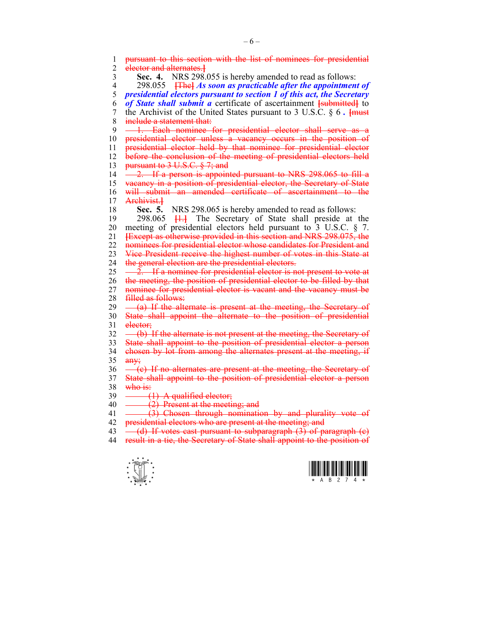1 pursuant to this section with the list of nominees for presidential 2 elector and alternates 1 2 elector and alternates.**]** 3 **Sec. 4.** NRS 298.055 is hereby amended to read as follows: 4 298.055 **[**The**]** *As soon as practicable after the appointment of*  5 *presidential electors pursuant to section 1 of this act, the Secretary*  6 *of State shall submit a* certificate of ascertainment **[**submitted**]** to 7 the Archivist of the United States pursuant to 3 U.S.C. § 6 *.* **[**must 8 include a statement that: 9 - 1. Each nominee for presidential elector shall serve as a 10 presidential elector unless a vacancy occurs in the position of 11 presidential elector held by that nominee for presidential elector 12 before the conclusion of the meeting of presidential electors held 13 pursuant to 3 U.S.C. § 7; and  $14 \quad -2$ . If a person is appointed pursuant to NRS 298.065 to fill a 15 vacancy in a position of presidential elector, the Secretary of State 16 will submit an amended certificate of ascertainment to the 17 Archivist.**]** 18 **Sec. 5.** NRS 298.065 is hereby amended to read as follows: 19 298.065 **[**1.**]** The Secretary of State shall preside at the 20 meeting of presidential electors held pursuant to 3 U.S.C. § 7. 21 **[**Except as otherwise provided in this section and NRS 298.075, the 22 nominees for presidential elector whose candidates for President and 23 Vice President receive the highest number of votes in this State at 24 the general election are the presidential electors.  $25 \longrightarrow 2$ . If a nominee for presidential elector is not present to vote at 26 the meeting, the position of presidential elector to be filled by that 27 nominee for presidential elector is vacant and the vacancy must be 28 filled as follows:  $29 - (a)$  If the alternate is present at the meeting, the Secretary of 30 State shall appoint the alternate to the position of presidential 31 elector: 32 (b) If the alternate is not present at the meeting, the Secretary of 33 State shall appoint to the position of presidential elector a person 34 chosen by lot from among the alternates present at the meeting, if  $35$  any;  $36 \left( -\frac{c}{c} \right)$  If no alternates are present at the meeting, the Secretary of 37 State shall appoint to the position of presidential elector a person 38 who is:  $39 \longrightarrow (1)$  A qualified elector; 40  $\leftarrow$  (2) Present at the meeting; and 41  $\leftarrow$  (3) Chosen through nomination by and plurality vote of 42 presidential electors who are present at the meeting; and 43  $\left(-\frac{d}{dt}\right)$  If votes cast pursuant to subparagraph  $\left(3\right)$  of paragraph  $\left(e\right)$ 44 result in a tie, the Secretary of State shall appoint to the position of



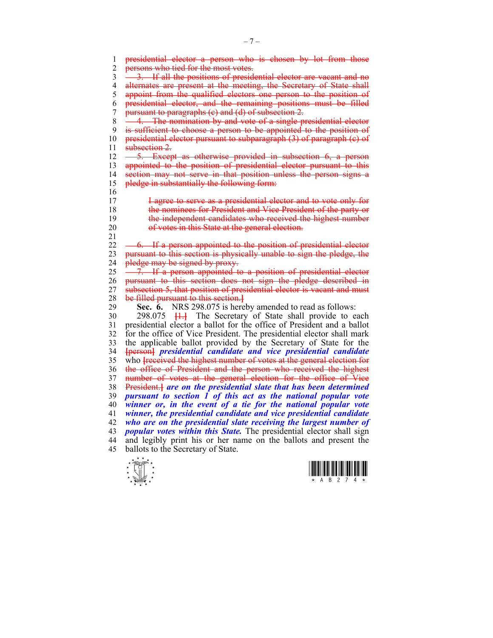1 presidential elector a person who is chosen by lot from those 2 persons who tied for the most votes.  $3 \overline{3}$ . If all the positions of presidential elector are vacant and no 4 alternates are present at the meeting, the Secretary of State shall 5 appoint from the qualified electors one person to the position of 6 presidential elector, and the remaining positions must be filled 7 pursuant to paragraphs (c) and (d) of subsection 2. 8 - 4. The nomination by and vote of a single presidential elector 9 is sufficient to choose a person to be appointed to the position of 10 presidential elector pursuant to subparagraph (3) of paragraph (c) of 11 subsection 2 12 - 5. Except as otherwise provided in subsection 6, a person 13 appointed to the position of presidential elector pursuant to this 14 section may not serve in that position unless the person signs a 15 pledge in substantially the following form: 16 17 **I agree to serve as a presidential elector and to vote only for** 18 **the nominees for President and Vice President of the party or** 19 the independent candidates who received the highest number 20 of votes in this State at the general election. 21  $22 \longrightarrow 6$ . If a person appointed to the position of presidential elector 23 pursuant to this section is physically unable to sign the pledge, the 24 pledge may be signed by proxy. 25 - 7. If a person appointed to a position of presidential elector 26 pursuant to this section does not sign the pledge described in 27 subsection 5, that position of presidential elector is vacant and must 28 be filled pursuant to this section.**]** 29 **Sec. 6.** NRS 298.075 is hereby amended to read as follows: 30 298.075 **[**1.**]** The Secretary of State shall provide to each 31 presidential elector a ballot for the office of President and a ballot 32 for the office of Vice President. The presidential elector shall mark 33 the applicable ballot provided by the Secretary of State for the 34 **[**person**]** *presidential candidate and vice presidential candidate*  35 who **[**received the highest number of votes at the general election for 36 the office of President and the person who received the highest 37 number of votes at the general election for the office of Vice 38 President.**]** *are on the presidential slate that has been determined*  39 *pursuant to section 1 of this act as the national popular vote*  40 *winner or, in the event of a tie for the national popular vote*  41 *winner, the presidential candidate and vice presidential candidate*  42 *who are on the presidential slate receiving the largest number of*  43 *popular votes within this State.* The presidential elector shall sign 44 and legibly print his or her name on the ballots and present the 45 ballots to the Secretary of State.



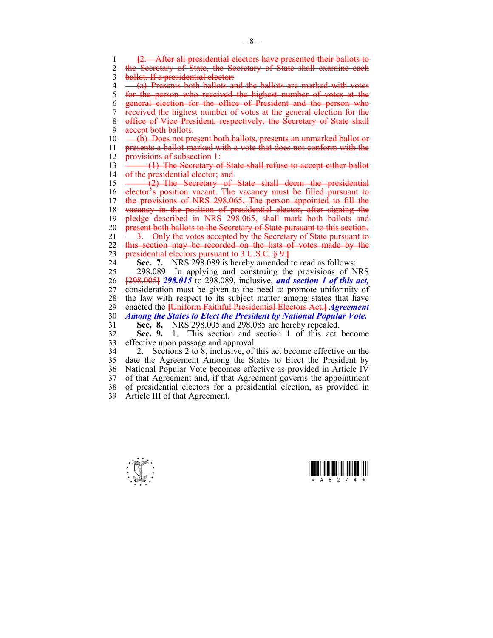1 **[**2. After all presidential electors have presented their ballots to the Secretary of State, the Secretary of State shall examine each 3 ballot. If a presidential elector:  $4 - \frac{a}{b}$  Presents both ballots and the ballots are marked with votes  $5$  for the person who received the highest number of votes at the 5 for the person who received the highest number of votes at the 6 general election for the office of President and the person who 7 received the highest number of votes at the general election for the 8 office of Vice President, respectively, the Secretary of State shall 9 accept both ballots. 10 (b) Does not present both ballots, presents an unmarked ballot or 11 presents a ballot marked with a vote that does not conform with the 12 **provisions of subsection 1:** 13 (1) The Secretary of State shall refuse to accept either ballot 14 of the presidential elector; and  $15 \leftarrow \frac{2}{2}$  The Secretary of State shall deem the presidential 16 elector's position vacant. The vacancy must be filled pursuant to 17 the provisions of NRS 298.065. The person appointed to fill the 18 vacancy in the position of presidential elector, after signing the 19 pledge described in NRS 298,065, shall mark both ballots and 20 present both ballots to the Secretary of State pursuant to this section.  $21 \longrightarrow$  3. Only the votes accepted by the Secretary of State pursuant to 22 this section may be recorded on the lists of votes made by the 23 presidential electors pursuant to 3 U.S.C. § 9.**]** 24 **Sec. 7.** NRS 298.089 is hereby amended to read as follows: 25 298.089 In applying and construing the provisions of NRS

26 **[**298.005**]** *298.015* to 298.089, inclusive, *and section 1 of this act,*  27 consideration must be given to the need to promote uniformity of 28 the law with respect to its subject matter among states that have 29 enacted the **[**Uniform Faithful Presidential Electors Act.**]** *Agreement*  30 *Among the States to Elect the President by National Popular Vote.*  31 **Sec. 8.** NRS 298.005 and 298.085 are hereby repealed.

32 **Sec. 9.** 1. This section and section 1 of this act become 33 effective upon passage and approval.

34 2. Sections 2 to 8, inclusive, of this act become effective on the 35 date the Agreement Among the States to Elect the President by 36 National Popular Vote becomes effective as provided in Article IV 37 of that Agreement and, if that Agreement governs the appointment 38 of presidential electors for a presidential election, as provided in 39 Article III of that Agreement.